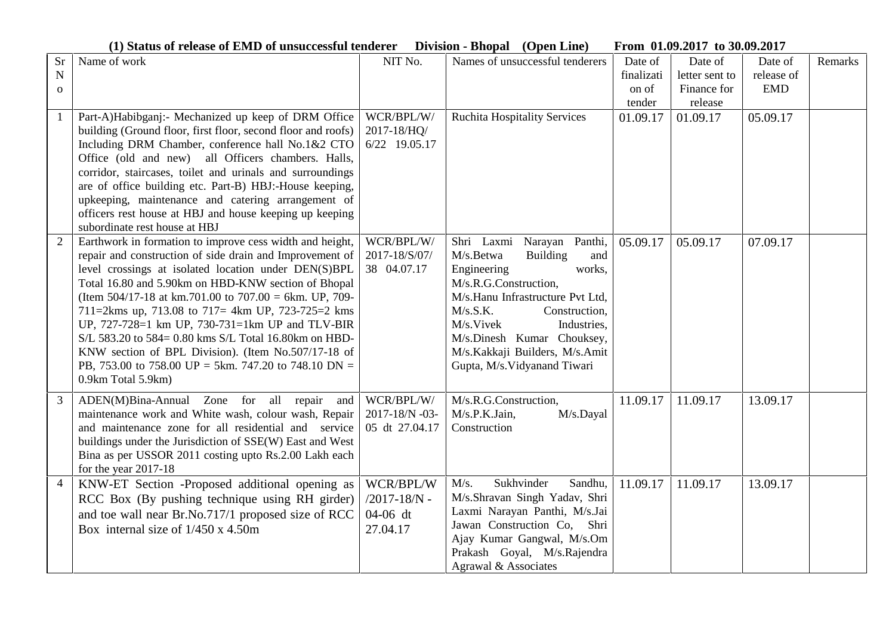**(1) Status of release of EMD of unsuccessful tenderer Division - Bhopal (Open Line) From 01.09.2017 to 30.09.2017**

| Sr             | Name of work                                                 | NIT No.          | Names of unsuccessful tenderers     | Date of    | Date of        | Date of    | Remarks |
|----------------|--------------------------------------------------------------|------------------|-------------------------------------|------------|----------------|------------|---------|
| N              |                                                              |                  |                                     | finalizati | letter sent to | release of |         |
| $\mathbf{o}$   |                                                              |                  |                                     | on of      | Finance for    | <b>EMD</b> |         |
|                |                                                              |                  |                                     | tender     | release        |            |         |
| 1              | Part-A)Habibganj:- Mechanized up keep of DRM Office          | WCR/BPL/W/       | <b>Ruchita Hospitality Services</b> | 01.09.17   | 01.09.17       | 05.09.17   |         |
|                | building (Ground floor, first floor, second floor and roofs) | 2017-18/HQ/      |                                     |            |                |            |         |
|                | Including DRM Chamber, conference hall No.1&2 CTO            | 6/22 19.05.17    |                                     |            |                |            |         |
|                | Office (old and new) all Officers chambers. Halls,           |                  |                                     |            |                |            |         |
|                | corridor, staircases, toilet and urinals and surroundings    |                  |                                     |            |                |            |         |
|                | are of office building etc. Part-B) HBJ:-House keeping,      |                  |                                     |            |                |            |         |
|                | upkeeping, maintenance and catering arrangement of           |                  |                                     |            |                |            |         |
|                | officers rest house at HBJ and house keeping up keeping      |                  |                                     |            |                |            |         |
|                | subordinate rest house at HBJ                                |                  |                                     |            |                |            |         |
| $\overline{2}$ | Earthwork in formation to improve cess width and height,     | WCR/BPL/W/       | Shri Laxmi Narayan Panthi,          | 05.09.17   | 05.09.17       | 07.09.17   |         |
|                | repair and construction of side drain and Improvement of     | 2017-18/S/07/    | M/s.Betwa<br><b>Building</b><br>and |            |                |            |         |
|                | level crossings at isolated location under DEN(S)BPL         | 38 04.07.17      | Engineering<br>works,               |            |                |            |         |
|                | Total 16.80 and 5.90km on HBD-KNW section of Bhopal          |                  | M/s.R.G.Construction,               |            |                |            |         |
|                | (Item 504/17-18 at km.701.00 to 707.00 = 6km. UP, 709-       |                  | M/s.Hanu Infrastructure Pvt Ltd,    |            |                |            |         |
|                | 711=2kms up, 713.08 to 717= 4km UP, 723-725=2 kms            |                  | M/s.S.K.<br>Construction,           |            |                |            |         |
|                | UP, 727-728=1 km UP, 730-731=1km UP and TLV-BIR              |                  | M/s.Vivek<br>Industries,            |            |                |            |         |
|                | S/L 583.20 to 584= 0.80 kms S/L Total 16.80 km on HBD-       |                  | M/s.Dinesh Kumar Chouksey,          |            |                |            |         |
|                | KNW section of BPL Division). (Item No.507/17-18 of          |                  | M/s.Kakkaji Builders, M/s.Amit      |            |                |            |         |
|                | PB, 753.00 to 758.00 UP = 5km. 747.20 to 748.10 DN =         |                  | Gupta, M/s. Vidyanand Tiwari        |            |                |            |         |
|                | 0.9km Total 5.9km)                                           |                  |                                     |            |                |            |         |
|                |                                                              |                  |                                     |            |                |            |         |
| 3              | ADEN(M)Bina-Annual Zone for all repair and                   | WCR/BPL/W/       | M/s.R.G.Construction,               | 11.09.17   | 11.09.17       | 13.09.17   |         |
|                | maintenance work and White wash, colour wash, Repair         | 2017-18/N -03-   | M/s.P.K.Jain,<br>M/s.Dayal          |            |                |            |         |
|                | and maintenance zone for all residential and service         | 05 dt 27.04.17   | Construction                        |            |                |            |         |
|                | buildings under the Jurisdiction of SSE(W) East and West     |                  |                                     |            |                |            |         |
|                | Bina as per USSOR 2011 costing upto Rs.2.00 Lakh each        |                  |                                     |            |                |            |         |
|                | for the year 2017-18                                         |                  |                                     |            |                |            |         |
| $\overline{4}$ | KNW-ET Section -Proposed additional opening as               | WCR/BPL/W        | Sukhvinder<br>M/s.<br>Sandhu,       | 11.09.17   | 11.09.17       | 13.09.17   |         |
|                | RCC Box (By pushing technique using RH girder)               | $/2017 - 18/N -$ | M/s.Shravan Singh Yadav, Shri       |            |                |            |         |
|                | and toe wall near Br.No.717/1 proposed size of RCC           | 04-06 dt         | Laxmi Narayan Panthi, M/s.Jai       |            |                |            |         |
|                | Box internal size of $1/450 \times 4.50$ m                   | 27.04.17         | Jawan Construction Co, Shri         |            |                |            |         |
|                |                                                              |                  | Ajay Kumar Gangwal, M/s.Om          |            |                |            |         |
|                |                                                              |                  | Prakash Goyal, M/s.Rajendra         |            |                |            |         |
|                |                                                              |                  | Agrawal & Associates                |            |                |            |         |
|                |                                                              |                  |                                     |            |                |            |         |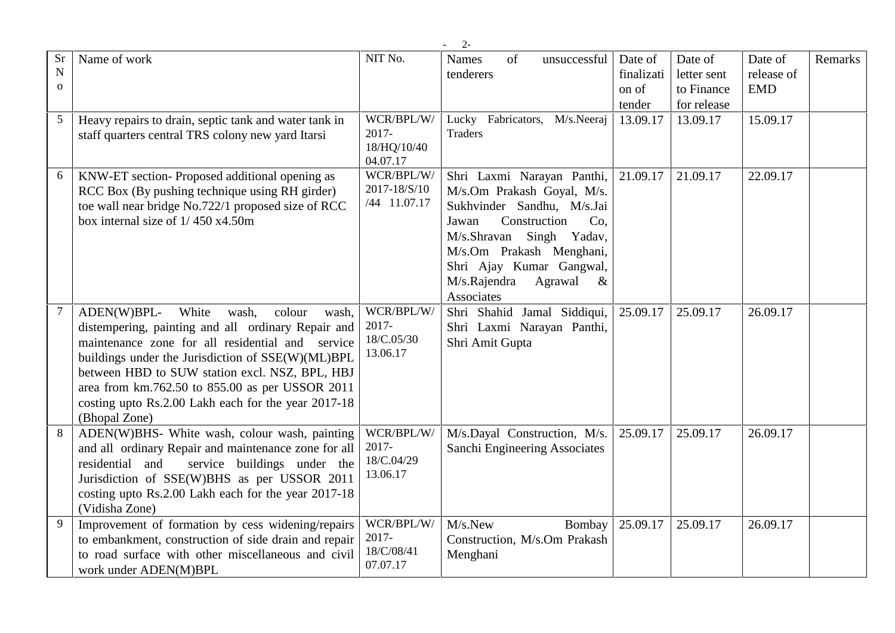|                                | $2 -$                                                                                                                                                                                                                                                                                                                                                                                        |                                                   |                                                                                                                                                                                                                                                                            |                                          |                                                     |                                     |         |  |
|--------------------------------|----------------------------------------------------------------------------------------------------------------------------------------------------------------------------------------------------------------------------------------------------------------------------------------------------------------------------------------------------------------------------------------------|---------------------------------------------------|----------------------------------------------------------------------------------------------------------------------------------------------------------------------------------------------------------------------------------------------------------------------------|------------------------------------------|-----------------------------------------------------|-------------------------------------|---------|--|
| <b>Sr</b><br>N<br>$\mathbf{O}$ | Name of work                                                                                                                                                                                                                                                                                                                                                                                 | NIT No.                                           | Names<br>of<br>unsuccessful<br>tenderers                                                                                                                                                                                                                                   | Date of<br>finalizati<br>on of<br>tender | Date of<br>letter sent<br>to Finance<br>for release | Date of<br>release of<br><b>EMD</b> | Remarks |  |
| 5                              | Heavy repairs to drain, septic tank and water tank in<br>staff quarters central TRS colony new yard Itarsi                                                                                                                                                                                                                                                                                   | WCR/BPL/W/<br>$2017 -$<br>18/HQ/10/40<br>04.07.17 | Lucky Fabricators,<br>M/s.Neeraj<br><b>Traders</b>                                                                                                                                                                                                                         | 13.09.17                                 | 13.09.17                                            | 15.09.17                            |         |  |
| 6                              | KNW-ET section- Proposed additional opening as<br>RCC Box (By pushing technique using RH girder)<br>toe wall near bridge No.722/1 proposed size of RCC<br>box internal size of $1/450$ x4.50m                                                                                                                                                                                                | WCR/BPL/W/<br>2017-18/S/10<br>/44 11.07.17        | Shri Laxmi Narayan Panthi, 21.09.17<br>M/s.Om Prakash Goyal, M/s.<br>Sukhvinder Sandhu, M/s.Jai<br>Construction<br>Jawan<br>Co.<br>Singh<br>M/s.Shravan<br>Yadav,<br>M/s.Om Prakash Menghani,<br>Shri Ajay Kumar Gangwal,<br>M/s.Rajendra<br>Agrawal<br>$\&$<br>Associates |                                          | 21.09.17                                            | 22.09.17                            |         |  |
| $\tau$                         | ADEN(W)BPL-<br>White<br>wash,<br>colour<br>wash,<br>distempering, painting and all ordinary Repair and<br>maintenance zone for all residential and service<br>buildings under the Jurisdiction of SSE(W)(ML)BPL<br>between HBD to SUW station excl. NSZ, BPL, HBJ<br>area from km.762.50 to 855.00 as per USSOR 2011<br>costing upto Rs.2.00 Lakh each for the year 2017-18<br>(Bhopal Zone) | WCR/BPL/W/<br>2017-<br>18/C.05/30<br>13.06.17     | Shri Shahid Jamal Siddiqui,<br>Shri Laxmi Narayan Panthi,<br>Shri Amit Gupta                                                                                                                                                                                               | 25.09.17                                 | 25.09.17                                            | 26.09.17                            |         |  |
| 8                              | ADEN(W)BHS- White wash, colour wash, painting<br>and all ordinary Repair and maintenance zone for all<br>residential and<br>service buildings under the<br>Jurisdiction of SSE(W)BHS as per USSOR 2011<br>costing upto Rs.2.00 Lakh each for the year 2017-18<br>(Vidisha Zone)                                                                                                              | WCR/BPL/W/<br>2017-<br>18/C.04/29<br>13.06.17     | M/s.Dayal Construction, M/s.<br>Sanchi Engineering Associates                                                                                                                                                                                                              | 25.09.17                                 | 25.09.17                                            | 26.09.17                            |         |  |
| 9                              | Improvement of formation by cess widening/repairs<br>to embankment, construction of side drain and repair<br>to road surface with other miscellaneous and civil<br>work under ADEN(M)BPL                                                                                                                                                                                                     | WCR/BPL/W/<br>2017-<br>18/C/08/41<br>07.07.17     | M/s.New<br>Bombay<br>Construction, M/s.Om Prakash<br>Menghani                                                                                                                                                                                                              | 25.09.17                                 | 25.09.17                                            | 26.09.17                            |         |  |